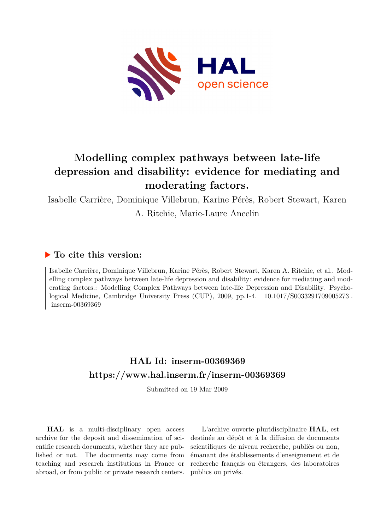

# **Modelling complex pathways between late-life depression and disability: evidence for mediating and moderating factors.**

Isabelle Carrière, Dominique Villebrun, Karine Pérès, Robert Stewart, Karen

A. Ritchie, Marie-Laure Ancelin

## **To cite this version:**

Isabelle Carrière, Dominique Villebrun, Karine Pérès, Robert Stewart, Karen A. Ritchie, et al.. Modelling complex pathways between late-life depression and disability: evidence for mediating and moderating factors.: Modelling Complex Pathways between late-life Depression and Disability. Psychological Medicine, Cambridge University Press (CUP), 2009, pp. 1-4. 10.1017/S0033291709005273. inserm-00369369

# **HAL Id: inserm-00369369 <https://www.hal.inserm.fr/inserm-00369369>**

Submitted on 19 Mar 2009

**HAL** is a multi-disciplinary open access archive for the deposit and dissemination of scientific research documents, whether they are published or not. The documents may come from teaching and research institutions in France or abroad, or from public or private research centers.

L'archive ouverte pluridisciplinaire **HAL**, est destinée au dépôt et à la diffusion de documents scientifiques de niveau recherche, publiés ou non, émanant des établissements d'enseignement et de recherche français ou étrangers, des laboratoires publics ou privés.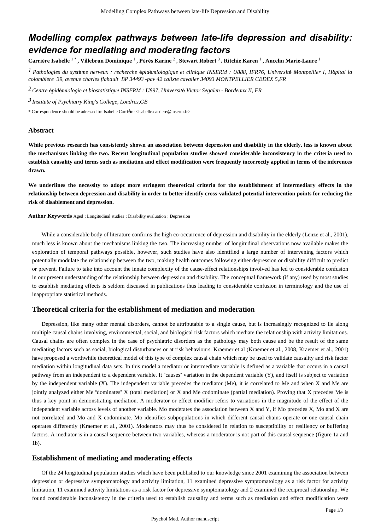# *Modelling complex pathways between late-life depression and disability: evidence for mediating and moderating factors*

Carrière Isabelle <sup>1</sup>\*, Villebrun Dominique <sup>1</sup>, Pérès Karine <sup>2</sup>, Stewart Robert <sup>3</sup>, Ritchie Karen <sup>1</sup>, Ancelin Marie-Laure <sup>1</sup>

*Pathologies du syst me nerveux : recherche pid miologique et clinique 1* <sup>è</sup> <sup>é</sup> <sup>é</sup> *INSERM : U888, IFR76, Universit*é *Montpellier I, H*ô*pital la colombiere 39, avenue charles flahault BP 34493 -pav 42 calixte cavalier 34093 MONTPELLIER CEDEX 5,FR*

*Centre pid miologie et biostatistique 2* <sup>é</sup> <sup>é</sup> *INSERM : U897, Universit*é *Victor Segalen - Bordeaux II, FR*

*Institute of Psychiatry 3 King's College, Londres,GB*

\* Correspondence should be adressed to: Isabelle Carrière <isabelle.carriere@inserm.fr>

#### **Abstract**

**While previous research has consistently shown an association between depression and disability in the elderly, less is known about the mechanisms linking the two. Recent longitudinal population studies showed considerable inconsistency in the criteria used to establish causality and terms such as mediation and effect modification were frequently incorrectly applied in terms of the inferences drawn.**

**We underlines the necessity to adopt more stringent theoretical criteria for the establishment of intermediary effects in the relationship between depression and disability in order to better identify cross-validated potential intervention points for reducing the risk of disablement and depression.**

**Author Keywords** Aged ; Longitudinal studies ; Disability evaluation ; Depression

While a considerable body of literature confirms the high co-occurrence of depression and disability in the elderly (Lenze et al., 2001), much less is known about the mechanisms linking the two. The increasing number of longitudinal observations now available makes the exploration of temporal pathways possible, however, such studies have also identified a large number of intervening factors which potentially modulate the relationship between the two, making health outcomes following either depression or disability difficult to predict or prevent. Failure to take into account the innate complexity of the cause-effect relationships involved has led to considerable confusion in our present understanding of the relationship between depression and disability. The conceptual framework (if any) used by most studies to establish mediating effects is seldom discussed in publications thus leading to considerable confusion in terminology and the use of inappropriate statistical methods.

#### **Theoretical criteria for the establishment of mediation and moderation**

Depression, like many other mental disorders, cannot be attributable to a single cause, but is increasingly recognized to lie along multiple causal chains involving, environmental, social, and biological risk factors which mediate the relationship with activity limitations. Causal chains are often complex in the case of psychiatric disorders as the pathology may both cause and be the result of the same mediating factors such as social, biological disturbances or at risk behaviours. Kraemer et al (Kraemer et al., 2008, Kraemer et al., 2001) have proposed a worthwhile theoretical model of this type of complex causal chain which may be used to validate causality and risk factor mediation within longitudinal data sets. In this model a mediator or intermediate variable is defined as a variable that occurs in a causal pathway from an independent to a dependent variable. It "causes" variation in the dependent variable (Y), and itself is subject to variation by the independent variable (X). The independent variable precedes the mediator (Me), it is correlated to Me and when X and Me are jointly analyzed either Me "dominates" X (total mediation) or X and Me codominate (partial mediation). Proving that X precedes Me is thus a key point in demonstrating mediation. A moderator or effect modifier refers to variations in the magnitude of the effect of the independent variable across levels of another variable. Mo moderates the association between X and Y, if Mo precedes X, Mo and X are not correlated and Mo and X codominate. Mo identifies subpopulations in which different causal chains operate or one causal chain operates differently (Kraemer et al., 2001). Moderators may thus be considered in relation to susceptibility or resiliency or buffering factors. A mediator is in a causal sequence between two variables, whereas a moderator is not part of this causal sequence (figure 1a and 1b).

### **Establishment of mediating and moderating effects**

Of the 24 longitudinal population studies which have been published to our knowledge since 2001 examining the association between depression or depressive symptomatology and activity limitation, 11 examined depressive symptomatology as a risk factor for activity limitation, 11 examined activity limitations as a risk factor for depressive symptomatology and 2 examined the reciprocal relationship. We found considerable inconsistency in the criteria used to establish causality and terms such as mediation and effect modification were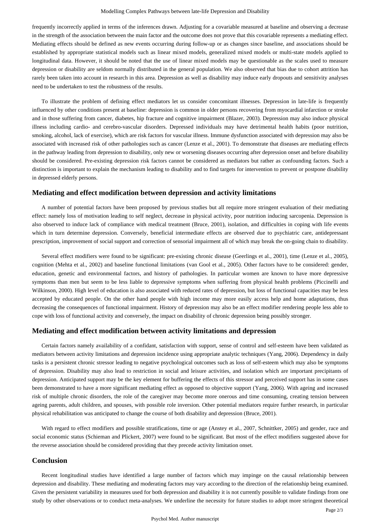#### Modelling Complex Pathways between late-life Depression and Disability

frequently incorrectly applied in terms of the inferences drawn. Adjusting for a covariable measured at baseline and observing a decrease in the strength of the association between the main factor and the outcome does not prove that this covariable represents a mediating effect. Mediating effects should be defined as new events occurring during follow-up or as changes since baseline, and associations should be established by appropriate statistical models such as linear mixed models, generalized mixed models or multi-state models applied to longitudinal data. However, it should be noted that the use of linear mixed models may be questionable as the scales used to measure depression or disability are seldom normally distributed in the general population. We also observed that bias due to cohort attrition has rarely been taken into account in research in this area. Depression as well as disability may induce early dropouts and sensitivity analyses need to be undertaken to test the robustness of the results.

To illustrate the problem of defining effect mediators let us consider concomitant illnesses. Depression in late-life is frequently influenced by other conditions present at baseline: depression is common in older persons recovering from myocardial infarction or stroke and in those suffering from cancer, diabetes, hip fracture and cognitive impairment (Blazer, 2003). Depression may also induce physical illness including cardio- and cerebro-vascular disorders. Depressed individuals may have detrimental health habits (poor nutrition, smoking, alcohol, lack of exercise), which are risk factors for vascular illness. Immune dysfunction associated with depression may also be associated with increased risk of other pathologies such as cancer (Lenze et al., 2001). To demonstrate that diseases are mediating effects in the pathway leading from depression to disability, only new or worsening diseases occurring after depression onset and before disability should be considered. Pre-existing depression risk factors cannot be considered as mediators but rather as confounding factors. Such a distinction is important to explain the mechanism leading to disability and to find targets for intervention to prevent or postpone disability in depressed elderly persons.

#### **Mediating and effect modification between depression and activity limitations**

A number of potential factors have been proposed by previous studies but all require more stringent evaluation of their mediating effect: namely loss of motivation leading to self neglect, decrease in physical activity, poor nutrition inducing sarcopenia. Depression is also observed to induce lack of compliance with medical treatment (Bruce, 2001), isolation, and difficulties in coping with life events which in turn determine depression. Conversely, beneficial intermediate effects are observed due to psychiatric care, antidepressant prescription, improvement of social support and correction of sensorial impairment all of which may break the on-going chain to disability.

Several effect modifiers were found to be significant: pre-existing chronic disease (Geerlings et al., 2001), time (Lenze et al., 2005), cognition (Mehta et al., 2002) and baseline functional limitations (van Gool et al., 2005). Other factors have to be considered: gender, education, genetic and environmental factors, and history of pathologies. In particular women are known to have more depressive symptoms than men but seem to be less liable to depressive symptoms when suffering from physical health problems (Piccinelli and Wilkinson, 2000). High level of education is also associated with reduced rates of depression, but loss of functional capacities may be less accepted by educated people. On the other hand people with high income may more easily access help and home adaptations, thus decreasing the consequences of functional impairment. History of depression may also be an effect modifier rendering people less able to cope with loss of functional activity and conversely, the impact on disability of chronic depression being possibly stronger.

## **Mediating and effect modification between activity limitations and depression**

Certain factors namely availability of a confidant, satisfaction with support, sense of control and self-esteem have been validated as mediators between activity limitations and depression incidence using appropriate analytic techniques (Yang, 2006). Dependency in daily tasks is a persistent chronic stressor leading to negative psychological outcomes such as loss of self-esteem which may also be symptoms of depression. Disability may also lead to restriction in social and leisure activities, and isolation which are important precipitants of depression. Anticipated support may be the key element for buffering the effects of this stressor and perceived support has in some cases been demonstrated to have a more significant mediating effect as opposed to objective support (Yang, 2006). With ageing and increased risk of multiple chronic disorders, the role of the caregiver may become more onerous and time consuming, creating tension between ageing parents, adult children, and spouses, with possible role inversion. Other potential mediators require further research, in particular physical rehabilitation was anticipated to change the course of both disability and depression (Bruce, 2001).

With regard to effect modifiers and possible stratifications, time or age (Anstey et al., 2007, Schnittker, 2005) and gender, race and social economic status (Schieman and Plickert, 2007) were found to be significant. But most of the effect modifiers suggested above for the reverse association should be considered providing that they precede activity limitation onset.

#### **Conclusion**

Recent longitudinal studies have identified a large number of factors which may impinge on the causal relationship between depression and disability. These mediating and moderating factors may vary according to the direction of the relationship being examined. Given the persistent variability in measures used for both depression and disability it is not currently possible to validate findings from one study by other observations or to conduct meta-analyses. We underline the necessity for future studies to adopt more stringent theoretical